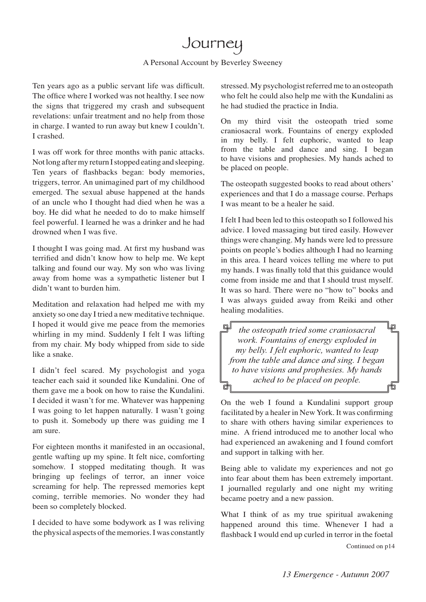## Journey

## A Personal Account by Beverley Sweeney

Ten years ago as a public servant life was difficult. The office where I worked was not healthy. I see now the signs that triggered my crash and subsequent revelations: unfair treatment and no help from those in charge. I wanted to run away but knew I couldn't. I crashed.

I was off work for three months with panic attacks. Not long after my return I stopped eating and sleeping. Ten years of flashbacks began: body memories, triggers, terror. An unimagined part of my childhood emerged. The sexual abuse happened at the hands of an uncle who I thought had died when he was a boy. He did what he needed to do to make himself feel powerful. I learned he was a drinker and he had drowned when I was five.

I thought I was going mad. At first my husband was terrified and didn't know how to help me. We kept talking and found our way. My son who was living away from home was a sympathetic listener but I didn't want to burden him.

Meditation and relaxation had helped me with my anxiety so one day I tried a new meditative technique. I hoped it would give me peace from the memories whirling in my mind. Suddenly I felt I was lifting from my chair. My body whipped from side to side like a snake.

I didn't feel scared. My psychologist and yoga teacher each said it sounded like Kundalini. One of them gave me a book on how to raise the Kundalini. I decided it wasn't for me. Whatever was happening I was going to let happen naturally. I wasn't going to push it. Somebody up there was guiding me I am sure.

For eighteen months it manifested in an occasional, gentle wafting up my spine. It felt nice, comforting somehow. I stopped meditating though. It was bringing up feelings of terror, an inner voice screaming for help. The repressed memories kept coming, terrible memories. No wonder they had been so completely blocked.

I decided to have some bodywork as I was reliving the physical aspects of the memories. I was constantly stressed. My psychologist referred me to an osteopath who felt he could also help me with the Kundalini as he had studied the practice in India.

On my third visit the osteopath tried some craniosacral work. Fountains of energy exploded in my belly. I felt euphoric, wanted to leap from the table and dance and sing. I began to have visions and prophesies. My hands ached to be placed on people.

The osteopath suggested books to read about others' experiences and that I do a massage course. Perhaps I was meant to be a healer he said.

I felt I had been led to this osteopath so I followed his advice. I loved massaging but tired easily. However things were changing. My hands were led to pressure points on people's bodies although I had no learning in this area. I heard voices telling me where to put my hands. I was finally told that this guidance would come from inside me and that I should trust myself. It was so hard. There were no "how to" books and I was always guided away from Reiki and other healing modalities.

வி Щ *the osteopath tried some craniosacral work. Fountains of energy exploded in my belly. I felt euphoric, wanted to leap from the table and dance and sing. I began to have visions and prophesies. My hands ached to be placed on people.*  襾 両

On the web I found a Kundalini support group facilitated by a healer in New York. It was confirming to share with others having similar experiences to mine. A friend introduced me to another local who had experienced an awakening and I found comfort and support in talking with her.

Being able to validate my experiences and not go into fear about them has been extremely important. I journalled regularly and one night my writing became poetry and a new passion.

What I think of as my true spiritual awakening happened around this time. Whenever I had a flashback I would end up curled in terror in the foetal Continued on p14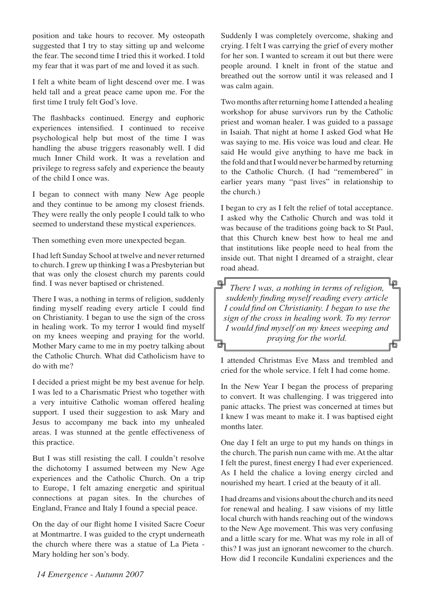position and take hours to recover. My osteopath suggested that I try to stay sitting up and welcome the fear. The second time I tried this it worked. I told my fear that it was part of me and loved it as such.

I felt a white beam of light descend over me. I was held tall and a great peace came upon me. For the first time I truly felt God's love.

The flashbacks continued. Energy and euphoric experiences intensified. I continued to receive psychological help but most of the time I was handling the abuse triggers reasonably well. I did much Inner Child work. It was a revelation and privilege to regress safely and experience the beauty of the child I once was.

I began to connect with many New Age people and they continue to be among my closest friends. They were really the only people I could talk to who seemed to understand these mystical experiences.

Then something even more unexpected began.

I had left Sunday School at twelve and never returned to church. I grew up thinking I was a Presbyterian but that was only the closest church my parents could find. I was never baptised or christened.

There I was, a nothing in terms of religion, suddenly finding myself reading every article I could find on Christianity. I began to use the sign of the cross in healing work. To my terror I would find myself on my knees weeping and praying for the world. Mother Mary came to me in my poetry talking about the Catholic Church. What did Catholicism have to do with me?

I decided a priest might be my best avenue for help. I was led to a Charismatic Priest who together with a very intuitive Catholic woman offered healing support. I used their suggestion to ask Mary and Jesus to accompany me back into my unhealed areas. I was stunned at the gentle effectiveness of this practice.

But I was still resisting the call. I couldn't resolve the dichotomy I assumed between my New Age experiences and the Catholic Church. On a trip to Europe, I felt amazing energetic and spiritual connections at pagan sites. In the churches of England, France and Italy I found a special peace.

On the day of our flight home I visited Sacre Coeur at Montmartre. I was guided to the crypt underneath the church where there was a statue of La Pieta - Mary holding her son's body.

Suddenly I was completely overcome, shaking and crying. I felt I was carrying the grief of every mother for her son. I wanted to scream it out but there were people around. I knelt in front of the statue and breathed out the sorrow until it was released and I was calm again.

Two months after returning home I attended a healing workshop for abuse survivors run by the Catholic priest and woman healer. I was guided to a passage in Isaiah. That night at home I asked God what He was saying to me. His voice was loud and clear. He said He would give anything to have me back in the fold and that I would never be harmed by returning to the Catholic Church. (I had "remembered" in earlier years many "past lives" in relationship to the church.)

I began to cry as I felt the relief of total acceptance. I asked why the Catholic Church and was told it was because of the traditions going back to St Paul, that this Church knew best how to heal me and that institutions like people need to heal from the inside out. That night I dreamed of a straight, clear road ahead.

வி ها *There I was, a nothing in terms of religion, suddenly finding myself reading every article I could find on Christianity. I began to use the sign of the cross in healing work. To my terror I would find myself on my knees weeping and praying for the world.* 襾

I attended Christmas Eve Mass and trembled and cried for the whole service. I felt I had come home.

In the New Year I began the process of preparing to convert. It was challenging. I was triggered into panic attacks. The priest was concerned at times but I knew I was meant to make it. I was baptised eight months later.

One day I felt an urge to put my hands on things in the church. The parish nun came with me. At the altar I felt the purest, finest energy I had ever experienced. As I held the chalice a loving energy circled and nourished my heart. I cried at the beauty of it all.

I had dreams and visions about the church and its need for renewal and healing. I saw visions of my little local church with hands reaching out of the windows to the New Age movement. This was very confusing and a little scary for me. What was my role in all of this? I was just an ignorant newcomer to the church. How did I reconcile Kundalini experiences and the